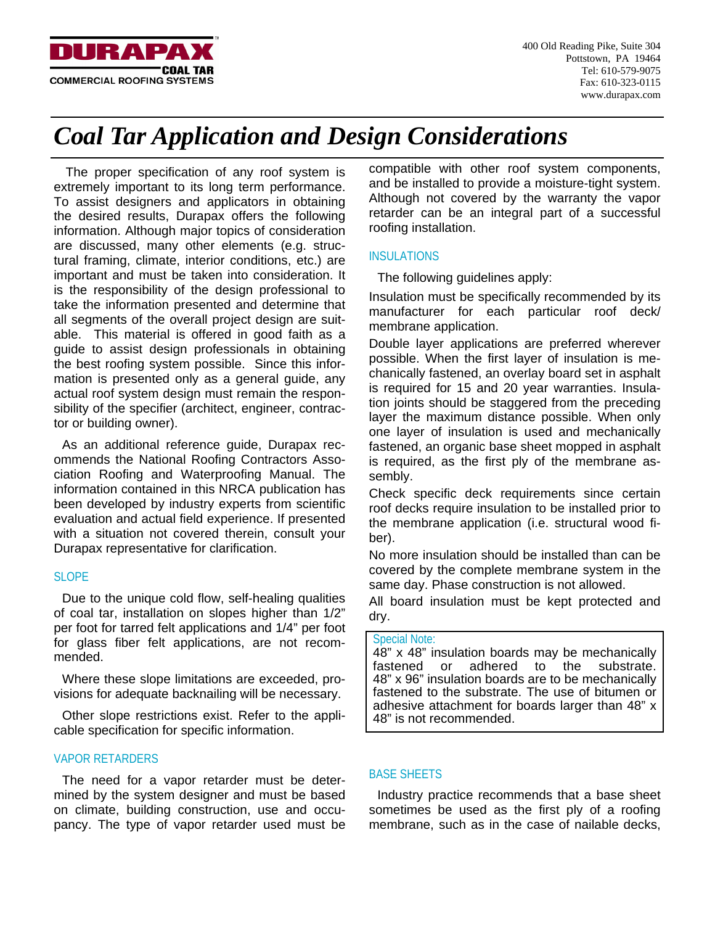

# *Coal Tar Application and Design Considerations*

 The proper specification of any roof system is extremely important to its long term performance. To assist designers and applicators in obtaining the desired results, Durapax offers the following information. Although major topics of consideration are discussed, many other elements (e.g. structural framing, climate, interior conditions, etc.) are important and must be taken into consideration. It is the responsibility of the design professional to take the information presented and determine that all segments of the overall project design are suitable. This material is offered in good faith as a guide to assist design professionals in obtaining the best roofing system possible. Since this information is presented only as a general guide, any actual roof system design must remain the responsibility of the specifier (architect, engineer, contractor or building owner).

As an additional reference guide, Durapax recommends the National Roofing Contractors Association Roofing and Waterproofing Manual. The information contained in this NRCA publication has been developed by industry experts from scientific evaluation and actual field experience. If presented with a situation not covered therein, consult your Durapax representative for clarification.

# SLOPE

Due to the unique cold flow, self-healing qualities of coal tar, installation on slopes higher than 1/2" per foot for tarred felt applications and 1/4" per foot for glass fiber felt applications, are not recommended.

Where these slope limitations are exceeded, provisions for adequate backnailing will be necessary.

Other slope restrictions exist. Refer to the applicable specification for specific information.

# VAPOR RETARDERS

The need for a vapor retarder must be determined by the system designer and must be based on climate, building construction, use and occupancy. The type of vapor retarder used must be compatible with other roof system components, and be installed to provide a moisture-tight system. Although not covered by the warranty the vapor retarder can be an integral part of a successful roofing installation.

# INSULATIONS

The following guidelines apply:

Insulation must be specifically recommended by its manufacturer for each particular roof deck/ membrane application.

Double layer applications are preferred wherever possible. When the first layer of insulation is mechanically fastened, an overlay board set in asphalt is required for 15 and 20 year warranties. Insulation joints should be staggered from the preceding layer the maximum distance possible. When only one layer of insulation is used and mechanically fastened, an organic base sheet mopped in asphalt is required, as the first ply of the membrane assembly.

Check specific deck requirements since certain roof decks require insulation to be installed prior to the membrane application (i.e. structural wood fiber).

No more insulation should be installed than can be covered by the complete membrane system in the same day. Phase construction is not allowed.

All board insulation must be kept protected and dry.

# Special Note:

48" x 48" insulation boards may be mechanically fastened or adhered to the substrate. 48" x 96" insulation boards are to be mechanically fastened to the substrate. The use of bitumen or adhesive attachment for boards larger than 48" x 48" is not recommended.

# BASE SHEETS

Industry practice recommends that a base sheet sometimes be used as the first ply of a roofing membrane, such as in the case of nailable decks,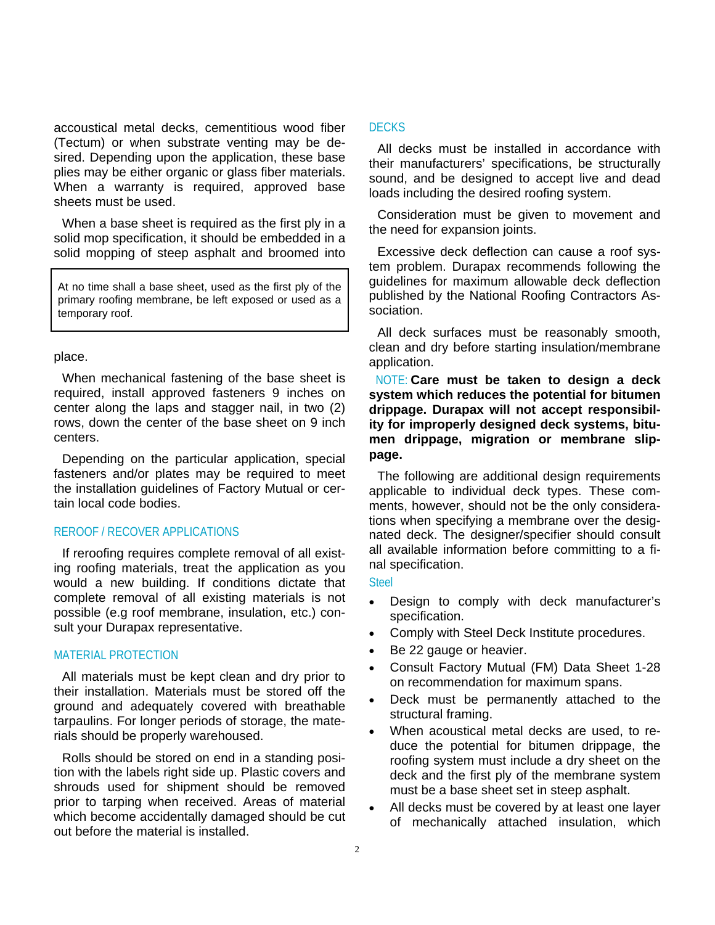accoustical metal decks, cementitious wood fiber (Tectum) or when substrate venting may be desired. Depending upon the application, these base plies may be either organic or glass fiber materials. When a warranty is required, approved base sheets must be used.

When a base sheet is required as the first ply in a solid mop specification, it should be embedded in a solid mopping of steep asphalt and broomed into

At no time shall a base sheet, used as the first ply of the primary roofing membrane, be left exposed or used as a temporary roof.

#### place.

When mechanical fastening of the base sheet is required, install approved fasteners 9 inches on center along the laps and stagger nail, in two (2) rows, down the center of the base sheet on 9 inch centers.

Depending on the particular application, special fasteners and/or plates may be required to meet the installation guidelines of Factory Mutual or certain local code bodies.

## REROOF / RECOVER APPLICATIONS

If reroofing requires complete removal of all existing roofing materials, treat the application as you would a new building. If conditions dictate that complete removal of all existing materials is not possible (e.g roof membrane, insulation, etc.) consult your Durapax representative.

# MATERIAL PROTECTION

All materials must be kept clean and dry prior to their installation. Materials must be stored off the ground and adequately covered with breathable tarpaulins. For longer periods of storage, the materials should be properly warehoused.

Rolls should be stored on end in a standing position with the labels right side up. Plastic covers and shrouds used for shipment should be removed prior to tarping when received. Areas of material which become accidentally damaged should be cut out before the material is installed.

#### DECKS

All decks must be installed in accordance with their manufacturers' specifications, be structurally sound, and be designed to accept live and dead loads including the desired roofing system.

Consideration must be given to movement and the need for expansion joints.

Excessive deck deflection can cause a roof system problem. Durapax recommends following the guidelines for maximum allowable deck deflection published by the National Roofing Contractors Association.

All deck surfaces must be reasonably smooth, clean and dry before starting insulation/membrane application.

NOTE: **Care must be taken to design a deck system which reduces the potential for bitumen drippage. Durapax will not accept responsibility for improperly designed deck systems, bitumen drippage, migration or membrane slippage.** 

The following are additional design requirements applicable to individual deck types. These comments, however, should not be the only considerations when specifying a membrane over the designated deck. The designer/specifier should consult all available information before committing to a final specification.

**Steel** 

- Design to comply with deck manufacturer's specification.
- Comply with Steel Deck Institute procedures.
- Be 22 gauge or heavier.
- Consult Factory Mutual (FM) Data Sheet 1-28 on recommendation for maximum spans.
- Deck must be permanently attached to the structural framing.
- When acoustical metal decks are used, to reduce the potential for bitumen drippage, the roofing system must include a dry sheet on the deck and the first ply of the membrane system must be a base sheet set in steep asphalt.
- All decks must be covered by at least one layer of mechanically attached insulation, which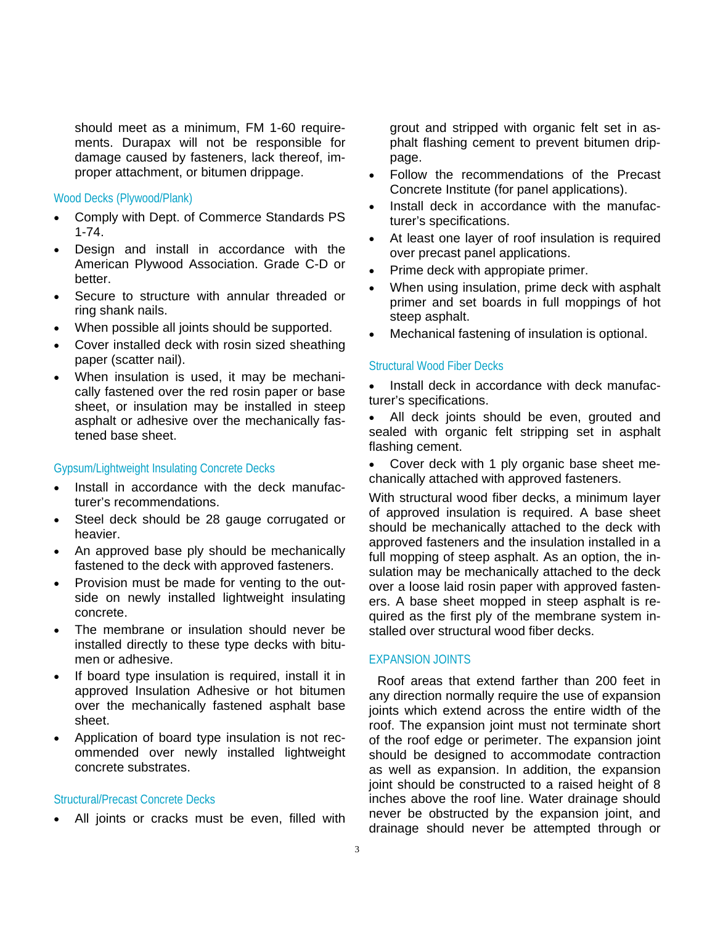should meet as a minimum, FM 1-60 requirements. Durapax will not be responsible for damage caused by fasteners, lack thereof, improper attachment, or bitumen drippage.

Wood Decks (Plywood/Plank)

- Comply with Dept. of Commerce Standards PS 1-74.
- Design and install in accordance with the American Plywood Association. Grade C-D or better.
- Secure to structure with annular threaded or ring shank nails.
- When possible all joints should be supported.
- Cover installed deck with rosin sized sheathing paper (scatter nail).
- When insulation is used, it may be mechanically fastened over the red rosin paper or base sheet, or insulation may be installed in steep asphalt or adhesive over the mechanically fastened base sheet.

#### Gypsum/Lightweight Insulating Concrete Decks

- Install in accordance with the deck manufacturer's recommendations.
- Steel deck should be 28 gauge corrugated or heavier.
- An approved base ply should be mechanically fastened to the deck with approved fasteners.
- Provision must be made for venting to the outside on newly installed lightweight insulating concrete.
- The membrane or insulation should never be installed directly to these type decks with bitumen or adhesive.
- If board type insulation is required, install it in approved Insulation Adhesive or hot bitumen over the mechanically fastened asphalt base sheet.
- Application of board type insulation is not recommended over newly installed lightweight concrete substrates.

#### Structural/Precast Concrete Decks

• All joints or cracks must be even, filled with

grout and stripped with organic felt set in asphalt flashing cement to prevent bitumen drippage.

- Follow the recommendations of the Precast Concrete Institute (for panel applications).
- Install deck in accordance with the manufacturer's specifications.
- At least one layer of roof insulation is required over precast panel applications.
- Prime deck with appropiate primer.
- When using insulation, prime deck with asphalt primer and set boards in full moppings of hot steep asphalt.
- Mechanical fastening of insulation is optional.

## Structural Wood Fiber Decks

• Install deck in accordance with deck manufacturer's specifications.

All deck joints should be even, grouted and sealed with organic felt stripping set in asphalt flashing cement.

• Cover deck with 1 ply organic base sheet mechanically attached with approved fasteners.

With structural wood fiber decks, a minimum layer of approved insulation is required. A base sheet should be mechanically attached to the deck with approved fasteners and the insulation installed in a full mopping of steep asphalt. As an option, the insulation may be mechanically attached to the deck over a loose laid rosin paper with approved fasteners. A base sheet mopped in steep asphalt is required as the first ply of the membrane system installed over structural wood fiber decks.

## EXPANSION JOINTS

Roof areas that extend farther than 200 feet in any direction normally require the use of expansion joints which extend across the entire width of the roof. The expansion joint must not terminate short of the roof edge or perimeter. The expansion joint should be designed to accommodate contraction as well as expansion. In addition, the expansion joint should be constructed to a raised height of 8 inches above the roof line. Water drainage should never be obstructed by the expansion joint, and drainage should never be attempted through or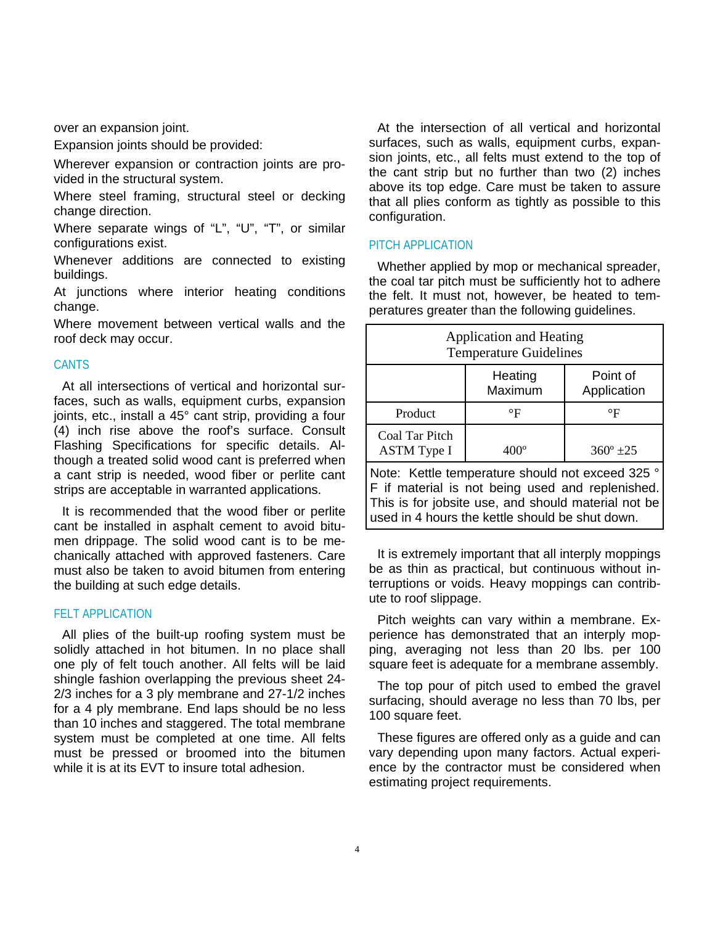over an expansion joint.

Expansion joints should be provided:

Wherever expansion or contraction joints are provided in the structural system.

Where steel framing, structural steel or decking change direction.

Where separate wings of "L", "U", "T", or similar configurations exist.

Whenever additions are connected to existing buildings.

At junctions where interior heating conditions change.

Where movement between vertical walls and the roof deck may occur.

#### **CANTS**

At all intersections of vertical and horizontal surfaces, such as walls, equipment curbs, expansion joints, etc., install a 45° cant strip, providing a four (4) inch rise above the roof's surface. Consult Flashing Specifications for specific details. Although a treated solid wood cant is preferred when a cant strip is needed, wood fiber or perlite cant strips are acceptable in warranted applications.

It is recommended that the wood fiber or perlite cant be installed in asphalt cement to avoid bitumen drippage. The solid wood cant is to be mechanically attached with approved fasteners. Care must also be taken to avoid bitumen from entering the building at such edge details.

# FELT APPLICATION

All plies of the built-up roofing system must be solidly attached in hot bitumen. In no place shall one ply of felt touch another. All felts will be laid shingle fashion overlapping the previous sheet 24- 2/3 inches for a 3 ply membrane and 27-1/2 inches for a 4 ply membrane. End laps should be no less than 10 inches and staggered. The total membrane system must be completed at one time. All felts must be pressed or broomed into the bitumen while it is at its EVT to insure total adhesion.

At the intersection of all vertical and horizontal surfaces, such as walls, equipment curbs, expansion joints, etc., all felts must extend to the top of the cant strip but no further than two (2) inches above its top edge. Care must be taken to assure that all plies conform as tightly as possible to this configuration.

#### PITCH APPLICATION

Whether applied by mop or mechanical spreader, the coal tar pitch must be sufficiently hot to adhere the felt. It must not, however, be heated to temperatures greater than the following guidelines.

| <b>Application and Heating</b><br><b>Temperature Guidelines</b>                                                                                                                                                |                      |                         |
|----------------------------------------------------------------------------------------------------------------------------------------------------------------------------------------------------------------|----------------------|-------------------------|
|                                                                                                                                                                                                                | Heating<br>Maximum   | Point of<br>Application |
| Product                                                                                                                                                                                                        | $\mathrm{^{\circ}F}$ | $\rm ^{\circ}F$         |
| Coal Tar Pitch<br><b>ASTM</b> Type I                                                                                                                                                                           | $400^\circ$          | $360^{\circ}$ ±25       |
| Note: Kettle temperature should not exceed 325 °<br>F if material is not being used and replenished.<br>This is for jobsite use, and should material not be<br>used in 4 hours the kettle should be shut down. |                      |                         |

It is extremely important that all interply moppings be as thin as practical, but continuous without interruptions or voids. Heavy moppings can contribute to roof slippage.

Pitch weights can vary within a membrane. Experience has demonstrated that an interply mopping, averaging not less than 20 lbs. per 100 square feet is adequate for a membrane assembly.

The top pour of pitch used to embed the gravel surfacing, should average no less than 70 lbs, per 100 square feet.

These figures are offered only as a guide and can vary depending upon many factors. Actual experience by the contractor must be considered when estimating project requirements.